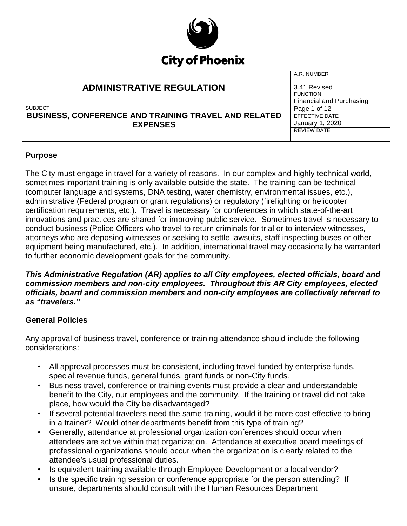

| <b>ADMINISTRATIVE REGULATION</b>                                               | A.R. NUMBER<br>3.41 Revised                 |
|--------------------------------------------------------------------------------|---------------------------------------------|
|                                                                                | <b>FUNCTION</b><br>Financial and Purchasing |
| <b>SUBJECT</b>                                                                 | Page 1 of 12                                |
| <b>BUSINESS, CONFERENCE AND TRAINING TRAVEL AND RELATED</b><br><b>EXPENSES</b> | EFFECTIVE DATE                              |
|                                                                                | January 1, 2020                             |
|                                                                                | <b>REVIEW DATE</b>                          |
|                                                                                |                                             |

### **Purpose**

The City must engage in travel for a variety of reasons. In our complex and highly technical world, sometimes important training is only available outside the state. The training can be technical (computer language and systems, DNA testing, water chemistry, environmental issues, etc.), administrative (Federal program or grant regulations) or regulatory (firefighting or helicopter certification requirements, etc.). Travel is necessary for conferences in which state-of-the-art innovations and practices are shared for improving public service. Sometimes travel is necessary to conduct business (Police Officers who travel to return criminals for trial or to interview witnesses, attorneys who are deposing witnesses or seeking to settle lawsuits, staff inspecting buses or other equipment being manufactured, etc.). In addition, international travel may occasionally be warranted to further economic development goals for the community.

*This Administrative Regulation (AR) applies to all City employees, elected officials, board and commission members and non-city employees. Throughout this AR City employees, elected officials, board and commission members and non-city employees are collectively referred to as "travelers."*

## **General Policies**

Any approval of business travel, conference or training attendance should include the following considerations:

- All approval processes must be consistent, including travel funded by enterprise funds, special revenue funds, general funds, grant funds or non-City funds.
- Business travel, conference or training events must provide a clear and understandable benefit to the City, our employees and the community. If the training or travel did not take place, how would the City be disadvantaged?
- If several potential travelers need the same training, would it be more cost effective to bring in a trainer? Would other departments benefit from this type of training?
- Generally, attendance at professional organization conferences should occur when attendees are active within that organization. Attendance at executive board meetings of professional organizations should occur when the organization is clearly related to the attendee's usual professional duties.
- Is equivalent training available through Employee Development or a local vendor?
- Is the specific training session or conference appropriate for the person attending? If unsure, departments should consult with the Human Resources Department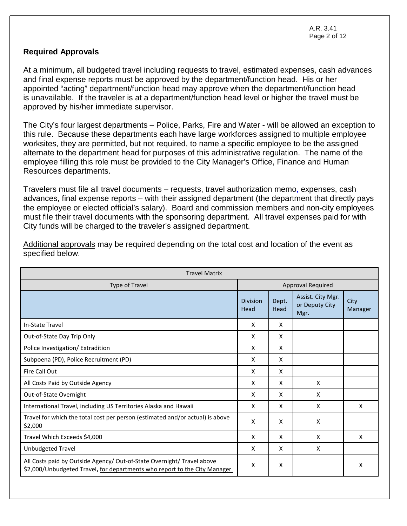A.R. 3.41 Page 2 of 12

#### **Required Approvals**

At a minimum, all budgeted travel including requests to travel, estimated expenses, cash advances and final expense reports must be approved by the department/function head. His or her appointed "acting" department/function head may approve when the department/function head is unavailable. If the traveler is at a department/function head level or higher the travel must be approved by his/her immediate supervisor.

The City's four largest departments – Police, Parks, Fire and Water - will be allowed an exception to this rule. Because these departments each have large workforces assigned to multiple employee worksites, they are permitted, but not required, to name a specific employee to be the assigned alternate to the department head for purposes of this administrative regulation. The name of the employee filling this role must be provided to the City Manager's Office, Finance and Human Resources departments.

Travelers must file all travel documents – requests, travel authorization memo, expenses, cash advances, final expense reports – with their assigned department (the department that directly pays the employee or elected official's salary). Board and commission members and non-city employees must file their travel documents with the sponsoring department. All travel expenses paid for with City funds will be charged to the traveler's assigned department.

| <b>Travel Matrix</b>                                                                                                                                |                         |               |                                             |                 |
|-----------------------------------------------------------------------------------------------------------------------------------------------------|-------------------------|---------------|---------------------------------------------|-----------------|
| <b>Type of Travel</b>                                                                                                                               | Approval Required       |               |                                             |                 |
|                                                                                                                                                     | <b>Division</b><br>Head | Dept.<br>Head | Assist. City Mgr.<br>or Deputy City<br>Mgr. | City<br>Manager |
| In-State Travel                                                                                                                                     | X                       | X             |                                             |                 |
| Out-of-State Day Trip Only                                                                                                                          | X                       | X             |                                             |                 |
| Police Investigation/Extradition                                                                                                                    | X                       | X             |                                             |                 |
| Subpoena (PD), Police Recruitment (PD)                                                                                                              | X                       | X             |                                             |                 |
| Fire Call Out                                                                                                                                       | X                       | X             |                                             |                 |
| All Costs Paid by Outside Agency                                                                                                                    | X                       | X             | X                                           |                 |
| Out-of-State Overnight                                                                                                                              | X                       | x             | X                                           |                 |
| International Travel, including US Territories Alaska and Hawaii                                                                                    | X                       | X             | X                                           | X               |
| Travel for which the total cost per person (estimated and/or actual) is above<br>\$2,000                                                            | X                       | X             | X                                           |                 |
| Travel Which Exceeds \$4,000                                                                                                                        | X                       | X             | X                                           | X               |
| Unbudgeted Travel                                                                                                                                   | X                       | X             | X                                           |                 |
| All Costs paid by Outside Agency/ Out-of-State Overnight/ Travel above<br>\$2,000/Unbudgeted Travel, for departments who report to the City Manager | X                       | X             |                                             | x               |

Additional approvals may be required depending on the total cost and location of the event as specified below.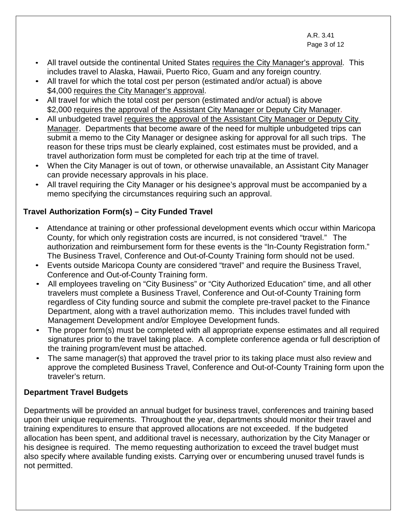A.R. 3.41 Page 3 of 12

 $\overline{a}$ 

- All travel outside the continental United States requires the City Manager's approval. This includes travel to Alaska, Hawaii, Puerto Rico, Guam and any foreign country.
- All travel for which the total cost per person (estimated and/or actual) is above \$4,000 requires the City Manager's approval.
- All travel for which the total cost per person (estimated and/or actual) is above \$2,000 requires the approval of the Assistant City Manager or Deputy City Manager.
- All unbudgeted travel requires the approval of the Assistant City Manager or Deputy City Manager. Departments that become aware of the need for multiple unbudgeted trips can submit a memo to the City Manager or designee asking for approval for all such trips. The reason for these trips must be clearly explained, cost estimates must be provided, and a travel authorization form must be completed for each trip at the time of travel.
- When the City Manager is out of town, or otherwise unavailable, an Assistant City Manager can provide necessary approvals in his place.
- All travel requiring the City Manager or his designee's approval must be accompanied by a memo specifying the circumstances requiring such an approval.

# **Travel Authorization Form(s) – City Funded Travel**

- Attendance at training or other professional development events which occur within Maricopa County, for which only registration costs are incurred, is not considered "travel." The authorization and reimbursement form for these events is the "In-County Registration form." The Business Travel, Conference and Out-of-County Training form should not be used.
- Events outside Maricopa County are considered "travel" and require the Business Travel, Conference and Out-of-County Training form.
- All employees traveling on "City Business" or "City Authorized Education" time, and all other travelers must complete a Business Travel, Conference and Out-of-County Training form regardless of City funding source and submit the complete pre-travel packet to the Finance Department, along with a travel authorization memo. This includes travel funded with Management Development and/or Employee Development funds.
- The proper form(s) must be completed with all appropriate expense estimates and all required signatures prior to the travel taking place. A complete conference agenda or full description of the training program/event must be attached.
- The same manager(s) that approved the travel prior to its taking place must also review and approve the completed Business Travel, Conference and Out-of-County Training form upon the traveler's return.

# **Department Travel Budgets**

Departments will be provided an annual budget for business travel, conferences and training based upon their unique requirements. Throughout the year, departments should monitor their travel and training expenditures to ensure that approved allocations are not exceeded. If the budgeted allocation has been spent, and additional travel is necessary, authorization by the City Manager or his designee is required. The memo requesting authorization to exceed the travel budget must also specify where available funding exists. Carrying over or encumbering unused travel funds is not permitted.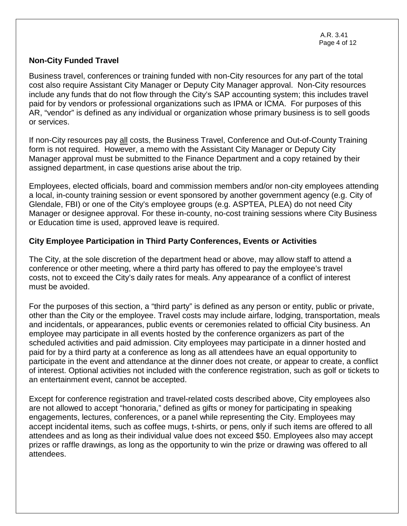A.R. 3.41 Page 4 of 12

#### **Non-City Funded Travel**

Business travel, conferences or training funded with non-City resources for any part of the total cost also require Assistant City Manager or Deputy City Manager approval. Non-City resources include any funds that do not flow through the City's SAP accounting system; this includes travel paid for by vendors or professional organizations such as IPMA or ICMA. For purposes of this AR, "vendor" is defined as any individual or organization whose primary business is to sell goods or services.

If non-City resources pay all costs, the Business Travel, Conference and Out-of-County Training form is not required. However, a memo with the Assistant City Manager or Deputy City Manager approval must be submitted to the Finance Department and a copy retained by their assigned department, in case questions arise about the trip.

Employees, elected officials, board and commission members and/or non-city employees attending a local, in-county training session or event sponsored by another government agency (e.g. City of Glendale, FBI) or one of the City's employee groups (e.g. ASPTEA, PLEA) do not need City Manager or designee approval. For these in-county, no-cost training sessions where City Business or Education time is used, approved leave is required.

### **City Employee Participation in Third Party Conferences, Events or Activities**

The City, at the sole discretion of the department head or above, may allow staff to attend a conference or other meeting, where a third party has offered to pay the employee's travel costs, not to exceed the City's daily rates for meals. Any appearance of a conflict of interest must be avoided.

For the purposes of this section, a "third party" is defined as any person or entity, public or private, other than the City or the employee. Travel costs may include airfare, lodging, transportation, meals and incidentals, or appearances, public events or ceremonies related to official City business. An employee may participate in all events hosted by the conference organizers as part of the scheduled activities and paid admission. City employees may participate in a dinner hosted and paid for by a third party at a conference as long as all attendees have an equal opportunity to participate in the event and attendance at the dinner does not create, or appear to create, a conflict of interest. Optional activities not included with the conference registration, such as golf or tickets to an entertainment event, cannot be accepted.

Except for conference registration and travel-related costs described above, City employees also are not allowed to accept "honoraria," defined as gifts or money for participating in speaking engagements, lectures, conferences, or a panel while representing the City. Employees may accept incidental items, such as coffee mugs, t-shirts, or pens, only if such items are offered to all attendees and as long as their individual value does not exceed \$50. Employees also may accept prizes or raffle drawings, as long as the opportunity to win the prize or drawing was offered to all attendees.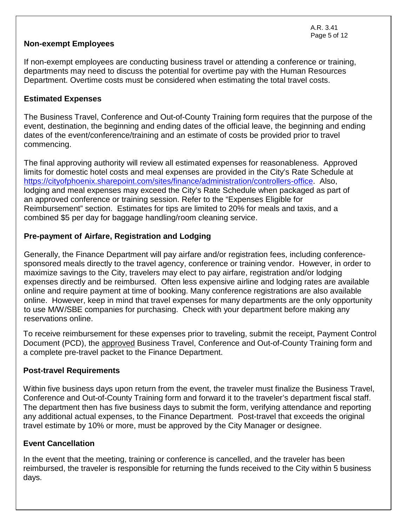### **Non-exempt Employees**

If non-exempt employees are conducting business travel or attending a conference or training, departments may need to discuss the potential for overtime pay with the Human Resources Department. Overtime costs must be considered when estimating the total travel costs.

### **Estimated Expenses**

The Business Travel, Conference and Out-of-County Training form requires that the purpose of the event, destination, the beginning and ending dates of the official leave, the beginning and ending dates of the event/conference/training and an estimate of costs be provided prior to travel commencing.

The final approving authority will review all estimated expenses for reasonableness. Approved limits for domestic hotel costs and meal expenses are provided in the City's Rate Schedule at [https://cityofphoenix.sharepoint.com/sites/finance/administration/controllers-office.](https://cityofphoenix.sharepoint.com/sites/finance/administration/controllers-office) Also, lodging and meal expenses may exceed the City's Rate Schedule when packaged as part of an approved conference or training session. Refer to the "Expenses Eligible for Reimbursement" section. Estimates for tips are limited to 20% for meals and taxis, and a combined \$5 per day for baggage handling/room cleaning service.

### **Pre-payment of Airfare, Registration and Lodging**

Generally, the Finance Department will pay airfare and/or registration fees, including conferencesponsored meals directly to the travel agency, conference or training vendor. However, in order to maximize savings to the City, travelers may elect to pay airfare, registration and/or lodging expenses directly and be reimbursed. Often less expensive airline and lodging rates are available online and require payment at time of booking. Many conference registrations are also available online. However, keep in mind that travel expenses for many departments are the only opportunity to use M/W/SBE companies for purchasing. Check with your department before making any reservations online.

To receive reimbursement for these expenses prior to traveling, submit the receipt, Payment Control Document (PCD), the approved Business Travel, Conference and Out-of-County Training form and a complete pre-travel packet to the Finance Department.

### **Post-travel Requirements**

Within five business days upon return from the event, the traveler must finalize the Business Travel, Conference and Out-of-County Training form and forward it to the traveler's department fiscal staff. The department then has five business days to submit the form, verifying attendance and reporting any additional actual expenses, to the Finance Department. Post-travel that exceeds the original travel estimate by 10% or more, must be approved by the City Manager or designee.

### **Event Cancellation**

In the event that the meeting, training or conference is cancelled, and the traveler has been reimbursed, the traveler is responsible for returning the funds received to the City within 5 business days.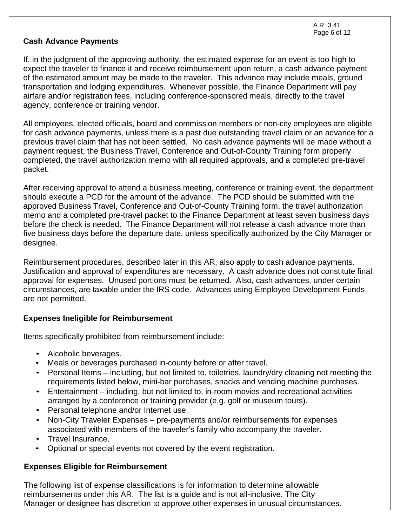### **Cash Advance Payments**

If, in the judgment of the approving authority, the estimated expense for an event is too high to expect the traveler to finance it and receive reimbursement upon return, a cash advance payment of the estimated amount may be made to the traveler. This advance may include meals, ground transportation and lodging expenditures. Whenever possible, the Finance Department will pay airfare and/or registration fees, including conference-sponsored meals, directly to the travel agency, conference or training vendor.

All employees, elected officials, board and commission members or non-city employees are eligible for cash advance payments, unless there is a past due outstanding travel claim or an advance for a previous travel claim that has not been settled. No cash advance payments will be made without a payment request, the Business Travel, Conference and Out-of-County Training form properly completed, the travel authorization memo with all required approvals, and a completed pre-travel packet.

After receiving approval to attend a business meeting, conference or training event, the department should execute a PCD for the amount of the advance. The PCD should be submitted with the approved Business Travel, Conference and Out-of-County Training form, the travel authorization memo and a completed pre-travel packet to the Finance Department at least seven business days before the check is needed. The Finance Department will not release a cash advance more than five business days before the departure date, unless specifically authorized by the City Manager or designee.

Reimbursement procedures, described later in this AR, also apply to cash advance payments. Justification and approval of expenditures are necessary. A cash advance does not constitute final approval for expenses. Unused portions must be returned. Also, cash advances, under certain circumstances, are taxable under the IRS code. Advances using Employee Development Funds are not permitted.

### **Expenses Ineligible for Reimbursement**

Items specifically prohibited from reimbursement include:

- Alcoholic beverages.
- Meals or beverages purchased in-county before or after travel.
- Personal Items including, but not limited to, toiletries, laundry/dry cleaning not meeting the requirements listed below, mini-bar purchases, snacks and vending machine purchases.
- Entertainment including, but not limited to, in-room movies and recreational activities arranged by a conference or training provider (e.g. golf or museum tours).
- Personal telephone and/or Internet use.
- Non-City Traveler Expenses pre-payments and/or reimbursements for expenses associated with members of the traveler's family who accompany the traveler.
- Travel Insurance.
- Optional or special events not covered by the event registration.

## **Expenses Eligible for Reimbursement**

The following list of expense classifications is for information to determine allowable reimbursements under this AR. The list is a guide and is not all-inclusive. The City Manager or designee has discretion to approve other expenses in unusual circumstances.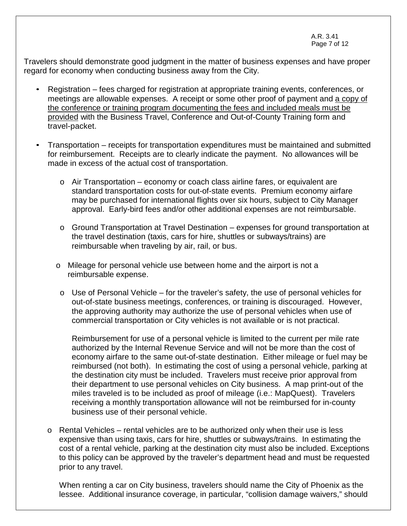A.R. 3.41 Page 7 of 12

Travelers should demonstrate good judgment in the matter of business expenses and have proper regard for economy when conducting business away from the City.

- Registration fees charged for registration at appropriate training events, conferences, or meetings are allowable expenses. A receipt or some other proof of payment and a copy of the conference or training program documenting the fees and included meals must be provided with the Business Travel, Conference and Out-of-County Training form and travel-packet.
- Transportation receipts for transportation expenditures must be maintained and submitted for reimbursement. Receipts are to clearly indicate the payment. No allowances will be made in excess of the actual cost of transportation.
	- o Air Transportation economy or coach class airline fares, or equivalent are standard transportation costs for out-of-state events. Premium economy airfare may be purchased for international flights over six hours, subject to City Manager approval. Early-bird fees and/or other additional expenses are not reimbursable.
	- o Ground Transportation at Travel Destination expenses for ground transportation at the travel destination (taxis, cars for hire, shuttles or subways/trains) are reimbursable when traveling by air, rail, or bus.
	- o Mileage for personal vehicle use between home and the airport is not a reimbursable expense.
		- $\circ$  Use of Personal Vehicle for the traveler's safety, the use of personal vehicles for out-of-state business meetings, conferences, or training is discouraged. However, the approving authority may authorize the use of personal vehicles when use of commercial transportation or City vehicles is not available or is not practical.

Reimbursement for use of a personal vehicle is limited to the current per mile rate authorized by the Internal Revenue Service and will not be more than the cost of economy airfare to the same out-of-state destination. Either mileage or fuel may be reimbursed (not both). In estimating the cost of using a personal vehicle, parking at the destination city must be included. Travelers must receive prior approval from their department to use personal vehicles on City business. A map print-out of the miles traveled is to be included as proof of mileage (i.e.: MapQuest). Travelers receiving a monthly transportation allowance will not be reimbursed for in-county business use of their personal vehicle.

o Rental Vehicles – rental vehicles are to be authorized only when their use is less expensive than using taxis, cars for hire, shuttles or subways/trains. In estimating the cost of a rental vehicle, parking at the destination city must also be included. Exceptions to this policy can be approved by the traveler's department head and must be requested prior to any travel.

When renting a car on City business, travelers should name the City of Phoenix as the lessee. Additional insurance coverage, in particular, "collision damage waivers," should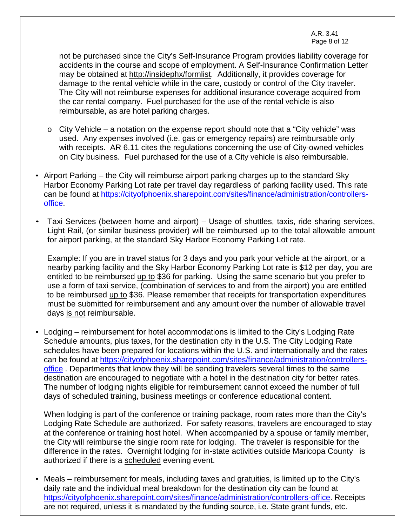A.R. 3.41 Page 8 of 12

not be purchased since the City's Self-Insurance Program provides liability coverage for accidents in the course and scope of employment. A Self-Insurance Confirmation Letter may be obtained at [http://insidephx/formlist.](http://insidephx/formlist) Additionally, it provides coverage for damage to the rental vehicle while in the care, custody or control of the City traveler. The City will not reimburse expenses for additional insurance coverage acquired from the car rental company. Fuel purchased for the use of the rental vehicle is also reimbursable, as are hotel parking charges.

- $\circ$  City Vehicle a notation on the expense report should note that a "City vehicle" was used. Any expenses involved (i.e. gas or emergency repairs) are reimbursable only with receipts. AR 6.11 cites the regulations concerning the use of City-owned vehicles on City business. Fuel purchased for the use of a City vehicle is also reimbursable.
- Airport Parking the City will reimburse airport parking charges up to the standard Sky Harbor Economy Parking Lot rate per travel day regardless of parking facility used. This rate can be found at [https://cityofphoenix.sharepoint.com/sites/finance/administration/controllers](https://cityofphoenix.sharepoint.com/sites/finance/administration/controllers-office)[office.](https://cityofphoenix.sharepoint.com/sites/finance/administration/controllers-office)
- Taxi Services (between home and airport) Usage of shuttles, taxis, ride sharing services, Light Rail, (or similar business provider) will be reimbursed up to the total allowable amount for airport parking, at the standard Sky Harbor Economy Parking Lot rate.

Example: If you are in travel status for 3 days and you park your vehicle at the airport, or a nearby parking facility and the Sky Harbor Economy Parking Lot rate is \$12 per day, you are entitled to be reimbursed up to \$36 for parking. Using the same scenario but you prefer to use a form of taxi service, (combination of services to and from the airport) you are entitled to be reimbursed up to \$36. Please remember that receipts for transportation expenditures must be submitted for reimbursement and any amount over the number of allowable travel days is not reimbursable.

• Lodging – reimbursement for hotel accommodations is limited to the City's Lodging Rate Schedule amounts, plus taxes, for the destination city in the U.S. The City Lodging Rate schedules have been prepared for locations within the U.S. and internationally and the rates can be found at [https://cityofphoenix.sharepoint.com/sites/finance/administration/controllers](https://cityofphoenix.sharepoint.com/sites/finance/administration/controllers-office)[office](https://cityofphoenix.sharepoint.com/sites/finance/administration/controllers-office) . Departments that know they will be sending travelers several times to the same destination are encouraged to negotiate with a hotel in the destination city for better rates. The number of lodging nights eligible for reimbursement cannot exceed the number of full days of scheduled training, business meetings or conference educational content.

When lodging is part of the conference or training package, room rates more than the City's Lodging Rate Schedule are authorized. For safety reasons, travelers are encouraged to stay at the conference or training host hotel. When accompanied by a spouse or family member, the City will reimburse the single room rate for lodging. The traveler is responsible for the difference in the rates. Overnight lodging for in-state activities outside Maricopa County is authorized if there is a scheduled evening event.

• Meals – reimbursement for meals, including taxes and gratuities, is limited up to the City's daily rate and the individual meal breakdown for the destination city can be found at [https://cityofphoenix.sharepoint.com/sites/finance/administration/controllers-office.](https://cityofphoenix.sharepoint.com/sites/finance/administration/controllers-office) Receipts are not required, unless it is mandated by the funding source, i.e. State grant funds, etc.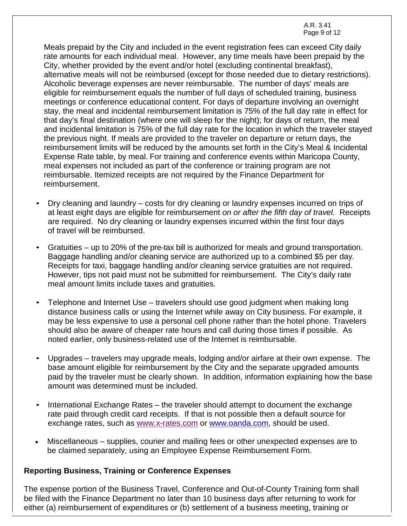A.R. 3.41 Page 9 of 12

Meals prepaid by the City and included in the event registration fees can exceed City daily rate amounts for each individual meal. However, any time meals have been prepaid by the City, whether provided by the event and/or hotel (excluding continental breakfast), alternative meals will not be reimbursed (except for those needed due to dietary restrictions). Alcoholic beverage expenses are never reimbursable. The number of days' meals are eligible for reimbursement equals the number of full days of scheduled training, business meetings or conference educational content. For days of departure involving an overnight stay, the meal and incidental reimbursement limitation is 75% of the full day rate in effect for that day's final destination (where one will sleep for the night); for days of return, the meal and incidental limitation is 75% of the full day rate for the location in which the traveler stayed the previous night. If meals are provided to the traveler on departure or return days, the reimbursement limits will be reduced by the amounts set forth in the City's Meal & Incidental Expense Rate table, by meal. For training and conference events within Maricopa County, meal expenses not included as part of the conference or training program are not reimbursable. Itemized receipts are not required by the Finance Department for reimbursement.

- Dry cleaning and laundry costs for dry cleaning or laundry expenses incurred on trips of at least eight days are eligible for reimbursement *on or after the fifth day of travel.* Receipts are required. No dry cleaning or laundry expenses incurred within the first four days of travel will be reimbursed.
- Gratuities up to 20% of the pre-tax bill is authorized for meals and ground transportation. Baggage handling and/or cleaning service are authorized up to a combined \$5 per day. Receipts for taxi, baggage handling and/or cleaning service gratuities are not required. However, tips not paid must not be submitted for reimbursement. The City's daily rate meal amount limits include taxes and gratuities.
- Telephone and Internet Use travelers should use good judgment when making long distance business calls or using the Internet while away on City business. For example, it may be less expensive to use a personal cell phone rather than the hotel phone. Travelers should also be aware of cheaper rate hours and call during those times if possible. As noted earlier, only business-related use of the Internet is reimbursable.
- Upgrades travelers may upgrade meals, lodging and/or airfare at their own expense. The base amount eligible for reimbursement by the City and the separate upgraded amounts paid by the traveler must be clearly shown. In addition, information explaining how the base amount was determined must be included.
- International Exchange Rates the traveler should attempt to document the exchange rate paid through credit card receipts. If that is not possible then a default source for exchange rates, such as [www.x-rates.com](http://www.x-rates.com/) or [www.oanda.com,](http://www.oanda.com/) should be used.
- Miscellaneous supplies, courier and mailing fees or other unexpected expenses are to be claimed separately, using an Employee Expense Reimbursement Form.

### **Reporting Business, Training or Conference Expenses**

The expense portion of the Business Travel, Conference and Out-of-County Training form shall be filed with the Finance Department no later than 10 business days after returning to work for either (a) reimbursement of expenditures or (b) settlement of a business meeting, training or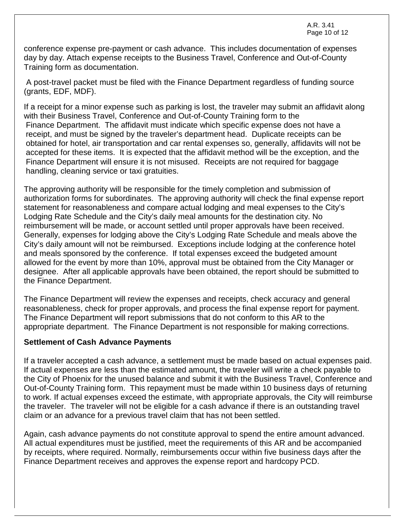conference expense pre-payment or cash advance. This includes documentation of expenses day by day. Attach expense receipts to the Business Travel, Conference and Out-of-County Training form as documentation.

A post-travel packet must be filed with the Finance Department regardless of funding source (grants, EDF, MDF).

If a receipt for a minor expense such as parking is lost, the traveler may submit an affidavit along with their Business Travel, Conference and Out-of-County Training form to the Finance Department. The affidavit must indicate which specific expense does not have a receipt, and must be signed by the traveler's department head. Duplicate receipts can be obtained for hotel, air transportation and car rental expenses so, generally, affidavits will not be accepted for these items. It is expected that the affidavit method will be the exception, and the Finance Department will ensure it is not misused. Receipts are not required for baggage handling, cleaning service or taxi gratuities.

The approving authority will be responsible for the timely completion and submission of authorization forms for subordinates. The approving authority will check the final expense report statement for reasonableness and compare actual lodging and meal expenses to the City's Lodging Rate Schedule and the City's daily meal amounts for the destination city. No reimbursement will be made, or account settled until proper approvals have been received. Generally, expenses for lodging above the City's Lodging Rate Schedule and meals above the City's daily amount will not be reimbursed. Exceptions include lodging at the conference hotel and meals sponsored by the conference. If total expenses exceed the budgeted amount allowed for the event by more than 10%, approval must be obtained from the City Manager or designee. After all applicable approvals have been obtained, the report should be submitted to the Finance Department.

The Finance Department will review the expenses and receipts, check accuracy and general reasonableness, check for proper approvals, and process the final expense report for payment. The Finance Department will report submissions that do not conform to this AR to the appropriate department. The Finance Department is not responsible for making corrections.

### **Settlement of Cash Advance Payments**

If a traveler accepted a cash advance, a settlement must be made based on actual expenses paid. If actual expenses are less than the estimated amount, the traveler will write a check payable to the City of Phoenix for the unused balance and submit it with the Business Travel, Conference and Out-of-County Training form. This repayment must be made within 10 business days of returning to work. If actual expenses exceed the estimate, with appropriate approvals, the City will reimburse the traveler. The traveler will not be eligible for a cash advance if there is an outstanding travel claim or an advance for a previous travel claim that has not been settled.

Again, cash advance payments do not constitute approval to spend the entire amount advanced. All actual expenditures must be justified, meet the requirements of this AR and be accompanied by receipts, where required. Normally, reimbursements occur within five business days after the Finance Department receives and approves the expense report and hardcopy PCD.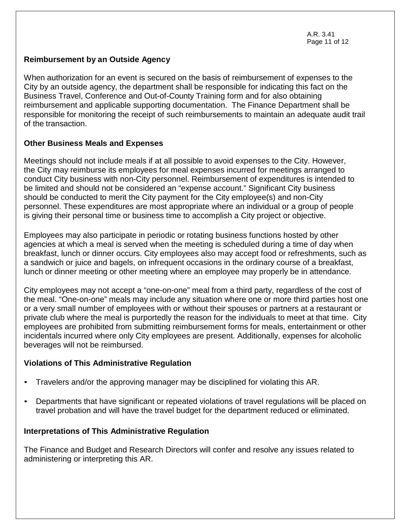A.R. 3.41 Page 11 of 12

### **Reimbursement by an Outside Agency**

When authorization for an event is secured on the basis of reimbursement of expenses to the City by an outside agency, the department shall be responsible for indicating this fact on the Business Travel, Conference and Out-of-County Training form and for also obtaining reimbursement and applicable supporting documentation. The Finance Department shall be responsible for monitoring the receipt of such reimbursements to maintain an adequate audit trail of the transaction.

### **Other Business Meals and Expenses**

Meetings should not include meals if at all possible to avoid expenses to the City. However, the City may reimburse its employees for meal expenses incurred for meetings arranged to conduct City business with non-City personnel. Reimbursement of expenditures is intended to be limited and should not be considered an "expense account." Significant City business should be conducted to merit the City payment for the City employee(s) and non-City personnel. These expenditures are most appropriate where an individual or a group of people is giving their personal time or business time to accomplish a City project or objective.

Employees may also participate in periodic or rotating business functions hosted by other agencies at which a meal is served when the meeting is scheduled during a time of day when breakfast, lunch or dinner occurs. City employees also may accept food or refreshments, such as a sandwich or juice and bagels, on infrequent occasions in the ordinary course of a breakfast, lunch or dinner meeting or other meeting where an employee may properly be in attendance.

City employees may not accept a "one-on-one" meal from a third party, regardless of the cost of the meal. "One-on-one" meals may include any situation where one or more third parties host one or a very small number of employees with or without their spouses or partners at a restaurant or private club where the meal is purportedly the reason for the individuals to meet at that time. City employees are prohibited from submitting reimbursement forms for meals, entertainment or other incidentals incurred where only City employees are present. Additionally, expenses for alcoholic beverages will not be reimbursed.

### **Violations of This Administrative Regulation**

- Travelers and/or the approving manager may be disciplined for violating this AR.
- Departments that have significant or repeated violations of travel regulations will be placed on travel probation and will have the travel budget for the department reduced or eliminated.

## **Interpretations of This Administrative Regulation**

The Finance and Budget and Research Directors will confer and resolve any issues related to administering or interpreting this AR.